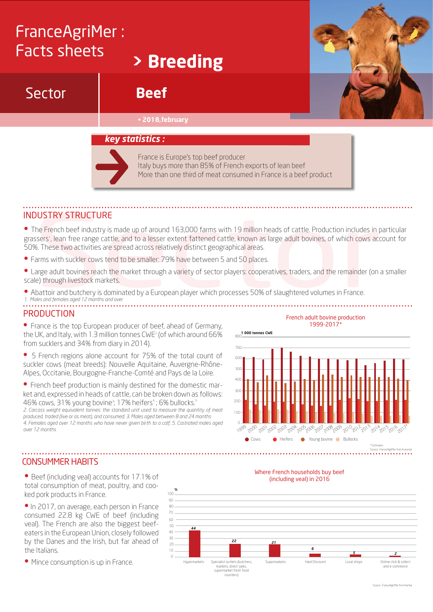# FranceAgriMer : Facts sheets

Sector

# **> Breeding**

## **Beef**

#### • **2018,february**



#### *key statistics :*

France is Europe's top beef producer Italy buys more than 85% of French exports of lean beef More than one third of meat consumed in France is a beef product

### Industry structure

• The French beef industry is made up of around 163,000 farms with 19 million heads of cattle. Production includes in particular grassers', lean free range cattle, and to a lesser extent fattened cattle, known as large adult bovines, of which cows account for 50%. These two activities are spread across relatively distinct geographical areas. **DUSTRY STRUCTURE**<br>The French beef industry is made up of around 163,000 farms with 19 million heads of cattle. Production includes in<br>the French beef industry is made up of around 163,000 farms with 19 million heads of ca

- Farms with suckler cows tend to be smaller: 79% have between 5 and 50 places.
- Large adult bovines reach the market through a variety of sector players: cooperatives, traders, and the remainder (on a smaller scale) through livestock markets.
- Abattoir and butchery is dominated by a European player which processes 50% of slaughtered volumes in France. *1. Males and females aged 12 months and over*

#### **PRODUCTION**

• France is the top European producer of beef, ahead of Germany, the UK, and Italy, with  $1.3$  million tonnes CWE<sup>2</sup> (of which around  $66\%$ from sucklers and 34% from diary in 2014).

• 5 French regions alone account for 75% of the total count of suckler cows (meat breeds): Nouvelle Aquitaine, Auvergne-Rhône-Alpes, Occitanie, Bourgogne-Franche-Comté and Pays de la Loire.

• French beef production is mainly destined for the domestic market and, expressed in heads of cattle, can be broken down as follows: 46% cows, 31% young bovine<sup>3</sup>; 17% heifers<sup>4</sup>; 6% bullocks.<sup>5</sup> *2. Carcass weight equivalent tonnes: the standard unit used to measure the quantity of meat produced, traded (live or as meat), and consumed; 3. Males aged between 8 and 24 months 4. Females aged over 12 months who have never given birth to a calf; 5. Castrated males aged over 12 months*



#### CONSUMMER HABITS

• Beef (including veal) accounts for 17.1% of total consumption of meat, poultry, and cooked pork products in France.

• In 2017, on average, each person in France consumed 22.8 kg CWE of beef (including veal). The French are also the biggest beefeaters in the European Union, closely followed by the Danes and the Irish, but far ahead of the Italians.

• Mince consumption is up in France.